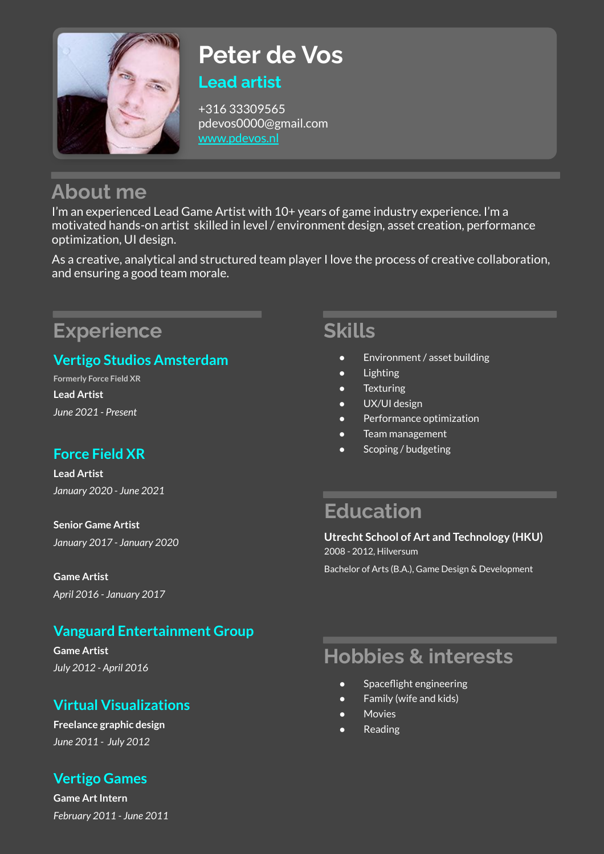

# **Peter de Vos Lead artist**

+316 33309565 pdevos0000@gmail.com [www.pdevos.nl](http://www.pdevos.nl)

# **About me**

I'm an experienced Lead Game Artist with 10+ years of game industry experience. I'm a motivated hands-on artist skilled in level / environment design, asset creation, performance optimization, UI design.

As a creative, analytical and structured team player I love the process of creative collaboration, and ensuring a good team morale.

# **Experience**

## **Vertigo Studios Amsterdam**

**Formerly Force Field XR Lead Artist** *June 2021 - Present*

# **Force Field XR**

**Lead Artist** *January 2020 - June 2021*

**Senior Game Artist** *January 2017 - January 2020*

**Game Artist** *April 2016 - January 2017*

## **Vanguard Entertainment Group**

**Game Artist** *July 2012 - April 2016*

## **Virtual Visualizations**

**Freelance graphic design** *June 2011 - July 2012*

### **Vertigo Games**

**Game Art Intern** *February 2011 - June 2011*

# **Skills**

- Environment / asset building
- **Lighting**
- **Texturing**
- UX/UI design
- Performance optimization
- Team management
- Scoping / budgeting

# **Education**

**Utrecht School of Art and Technology (HKU)** 2008 - 2012, Hilversum

Bachelor of Arts (B.A.), Game Design & Development

# **Hobbies & interests**

- Spaceflight engineering
- Family (wife and kids)
- **Movies**
- **Reading**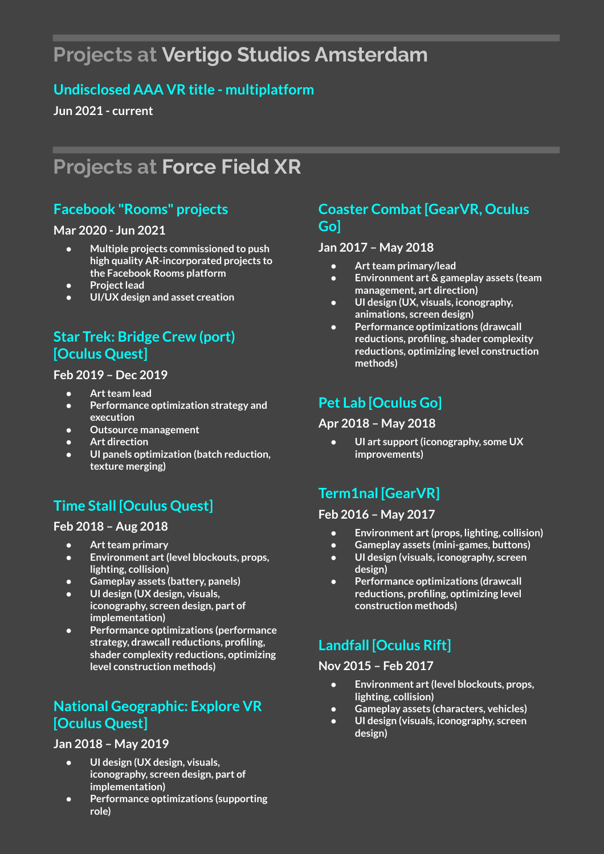# **Projects at Vertigo Studios Amsterdam**

### **Undisclosed AAA VR title - multiplatform**

**Jun 2021 - current**

# **Projects at Force Field XR**

### **Facebook "Rooms" projects**

#### **Mar 2020 - Jun 2021**

- **● Multiple projects commissioned to push high quality AR-incorporated projects to the Facebook Rooms platform**
- **● Project lead**
- **● UI/UX design and asset creation**

## **Star Trek: Bridge Crew (port) [Oculus Quest]**

#### **Feb 2019 – Dec 2019**

- **● Art team lead**
- **● Performance optimization strategy and execution**
- **● Outsource management**
- **● Art direction**
- **● UI panels optimization (batch reduction, texture merging)**

# **Time Stall [Oculus Quest]**

#### **Feb 2018 – Aug 2018**

- **● Art team primary**
- **● Environment art (level blockouts, props, lighting, collision)**
- **● Gameplay assets (battery, panels)**
- **● UI design (UX design, visuals, iconography, screen design, part of implementation)**
- **● Performance optimizations (performance strategy, drawcall reductions, profiling, shader complexity reductions, optimizing level construction methods)**

### **National Geographic: Explore VR [Oculus Quest]**

#### **Jan 2018 – May 2019**

- **● UI design (UX design, visuals, iconography, screen design, part of implementation)**
- **● Performance optimizations (supporting role)**

### **Coaster Combat [GearVR, Oculus Go]**

#### **Jan 2017 – May 2018**

- **● Art team primary/lead**
- **● Environment art & gameplay assets (team management, art direction)**
- **● UI design (UX, visuals, iconography, animations, screen design)**
- **● Performance optimizations (drawcall reductions, profiling, shader complexity reductions, optimizing level construction methods)**

### **Pet Lab [Oculus Go]**

#### **Apr 2018 – May 2018**

**● UI art support (iconography, some UX improvements)**

## **Term1nal [GearVR]**

#### **Feb 2016 – May 2017**

- **● Environment art (props, lighting, collision)**
- **● Gameplay assets (mini-games, buttons) ● UI design (visuals, iconography, screen design)**
- **● Performance optimizations (drawcall reductions, profiling, optimizing level construction methods)**

# **Landfall [Oculus Rift]**

#### **Nov 2015 – Feb 2017**

- **● Environment art (level blockouts, props, lighting, collision)**
- **● Gameplay assets (characters, vehicles)**
- **● UI design (visuals, iconography, screen design)**